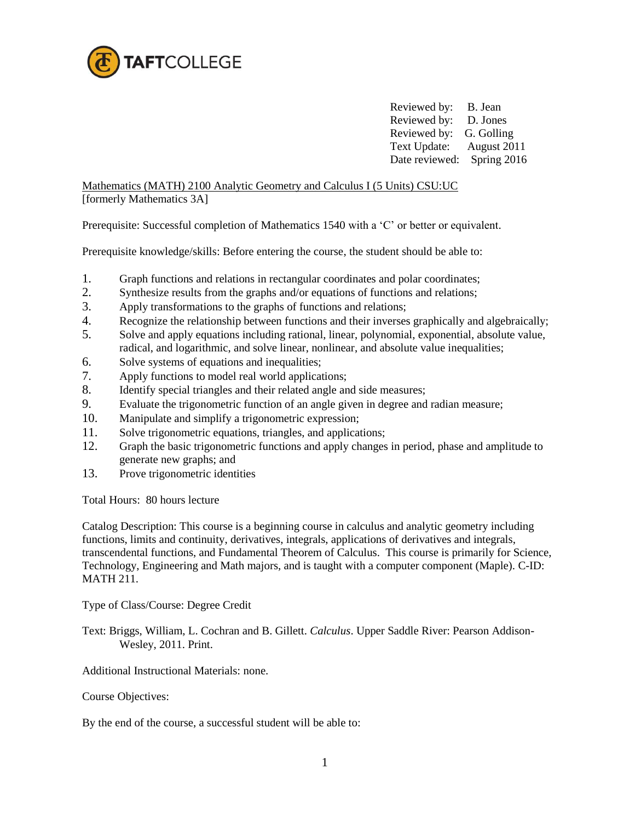

Reviewed by: B. Jean Reviewed by: D. Jones Reviewed by: G. Golling Text Update: August 2011 Date reviewed: Spring 2016

Mathematics (MATH) 2100 Analytic Geometry and Calculus I (5 Units) CSU:UC [formerly Mathematics 3A]

Prerequisite: Successful completion of Mathematics 1540 with a 'C' or better or equivalent.

Prerequisite knowledge/skills: Before entering the course, the student should be able to:

- 1. Graph functions and relations in rectangular coordinates and polar coordinates;
- 2. Synthesize results from the graphs and/or equations of functions and relations;
- 3. Apply transformations to the graphs of functions and relations;
- 4. Recognize the relationship between functions and their inverses graphically and algebraically;
- 5. Solve and apply equations including rational, linear, polynomial, exponential, absolute value, radical, and logarithmic, and solve linear, nonlinear, and absolute value inequalities;
- 6. Solve systems of equations and inequalities;
- 7. Apply functions to model real world applications;
- 8. Identify special triangles and their related angle and side measures;
- 9. Evaluate the trigonometric function of an angle given in degree and radian measure;
- 10. Manipulate and simplify a trigonometric expression;
- 11. Solve trigonometric equations, triangles, and applications;
- 12. Graph the basic trigonometric functions and apply changes in period, phase and amplitude to generate new graphs; and
- 13. Prove trigonometric identities

Total Hours: 80 hours lecture

Catalog Description: This course is a beginning course in calculus and analytic geometry including functions, limits and continuity, derivatives, integrals, applications of derivatives and integrals, transcendental functions, and Fundamental Theorem of Calculus. This course is primarily for Science, Technology, Engineering and Math majors, and is taught with a computer component (Maple). C-ID: MATH 211.

Type of Class/Course: Degree Credit

Text: Briggs, William, L. Cochran and B. Gillett. *Calculus*. Upper Saddle River: Pearson Addison-Wesley, 2011. Print.

Additional Instructional Materials: none.

Course Objectives:

By the end of the course, a successful student will be able to: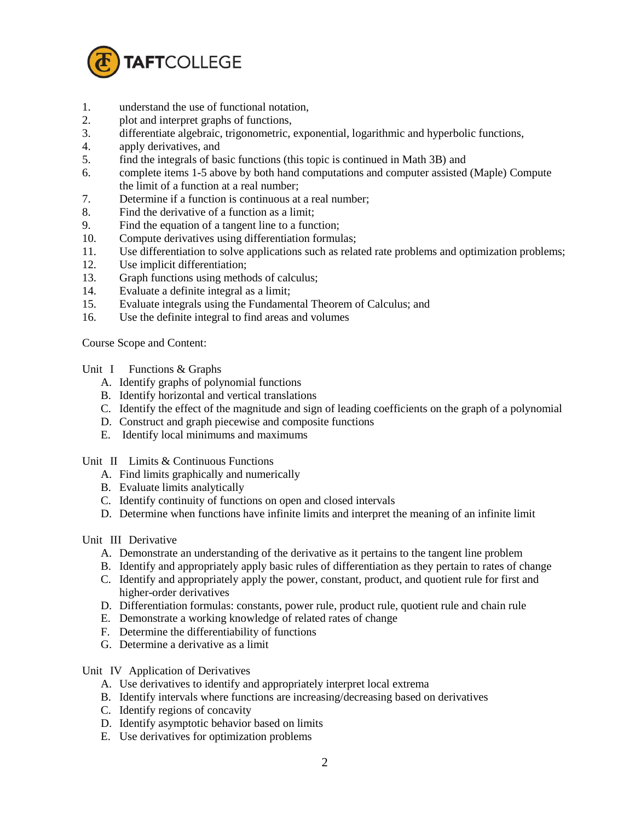

- 1. understand the use of functional notation,
- 2. plot and interpret graphs of functions,
- 3. differentiate algebraic, trigonometric, exponential, logarithmic and hyperbolic functions,
- 4. apply derivatives, and
- 5. find the integrals of basic functions (this topic is continued in Math 3B) and
- 6. complete items 1-5 above by both hand computations and computer assisted (Maple) Compute the limit of a function at a real number;
- 7. Determine if a function is continuous at a real number;
- 8. Find the derivative of a function as a limit;
- 9. Find the equation of a tangent line to a function;
- 10. Compute derivatives using differentiation formulas;
- 11. Use differentiation to solve applications such as related rate problems and optimization problems;
- 12. Use implicit differentiation;
- 13. Graph functions using methods of calculus;
- 14. Evaluate a definite integral as a limit;
- 15. Evaluate integrals using the Fundamental Theorem of Calculus; and
- 16. Use the definite integral to find areas and volumes

Course Scope and Content:

Unit I Functions & Graphs

- A. Identify graphs of polynomial functions
- B. Identify horizontal and vertical translations
- C. Identify the effect of the magnitude and sign of leading coefficients on the graph of a polynomial
- D. Construct and graph piecewise and composite functions
- E. Identify local minimums and maximums

Unit II Limits & Continuous Functions

- A. Find limits graphically and numerically
- B. Evaluate limits analytically
- C. Identify continuity of functions on open and closed intervals
- D. Determine when functions have infinite limits and interpret the meaning of an infinite limit

Unit III Derivative

- A. Demonstrate an understanding of the derivative as it pertains to the tangent line problem
- B. Identify and appropriately apply basic rules of differentiation as they pertain to rates of change
- C. Identify and appropriately apply the power, constant, product, and quotient rule for first and higher-order derivatives
- D. Differentiation formulas: constants, power rule, product rule, quotient rule and chain rule
- E. Demonstrate a working knowledge of related rates of change
- F. Determine the differentiability of functions
- G. Determine a derivative as a limit

Unit IV Application of Derivatives

- A. Use derivatives to identify and appropriately interpret local extrema
- B. Identify intervals where functions are increasing/decreasing based on derivatives
- C. Identify regions of concavity
- D. Identify asymptotic behavior based on limits
- E. Use derivatives for optimization problems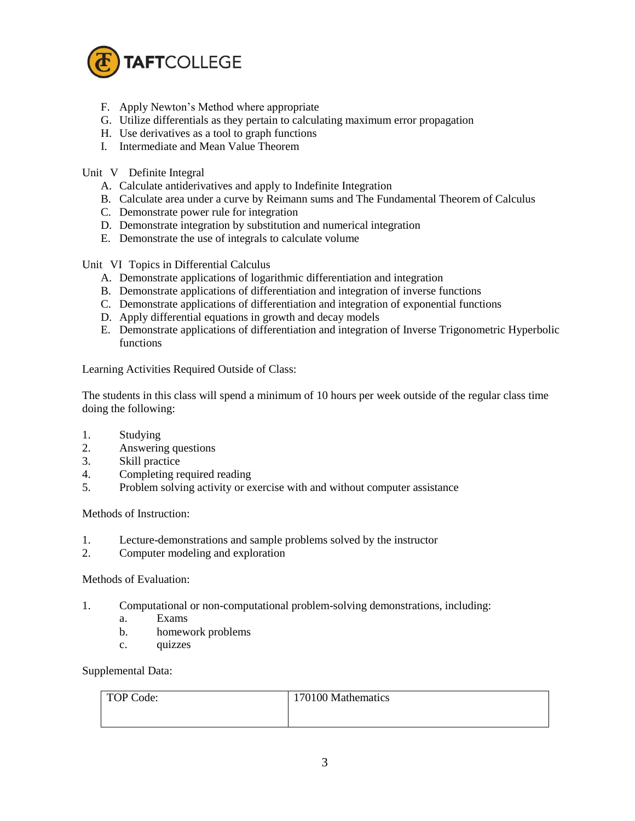

- F. Apply Newton's Method where appropriate
- G. Utilize differentials as they pertain to calculating maximum error propagation
- H. Use derivatives as a tool to graph functions
- I. Intermediate and Mean Value Theorem

Unit V Definite Integral

- A. Calculate antiderivatives and apply to Indefinite Integration
- B. Calculate area under a curve by Reimann sums and The Fundamental Theorem of Calculus
- C. Demonstrate power rule for integration
- D. Demonstrate integration by substitution and numerical integration
- E. Demonstrate the use of integrals to calculate volume

Unit VI Topics in Differential Calculus

- A. Demonstrate applications of logarithmic differentiation and integration
- B. Demonstrate applications of differentiation and integration of inverse functions
- C. Demonstrate applications of differentiation and integration of exponential functions
- D. Apply differential equations in growth and decay models
- E. Demonstrate applications of differentiation and integration of Inverse Trigonometric Hyperbolic functions

Learning Activities Required Outside of Class:

The students in this class will spend a minimum of 10 hours per week outside of the regular class time doing the following:

- 1. Studying
- 2. Answering questions
- 3. Skill practice
- 4. Completing required reading
- 5. Problem solving activity or exercise with and without computer assistance

Methods of Instruction:

- 1. Lecture-demonstrations and sample problems solved by the instructor
- 2. Computer modeling and exploration

Methods of Evaluation:

- 1. Computational or non-computational problem-solving demonstrations, including:
	- a. Exams
	- b. homework problems
	- c. quizzes

Supplemental Data:

| TOP Code: | 170100 Mathematics |
|-----------|--------------------|
|           |                    |